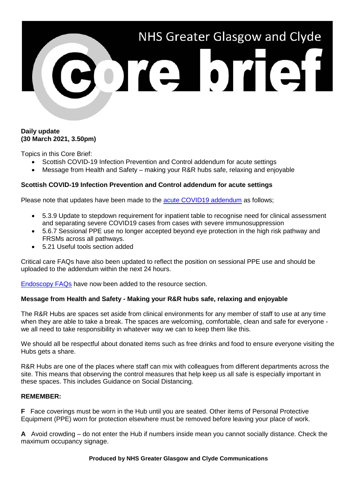

# **Daily update (30 March 2021, 3.50pm)**

Topics in this Core Brief:

- Scottish COVID-19 Infection Prevention and Control addendum for acute settings
- Message from Health and Safety making your R&R hubs safe, relaxing and enjoyable

## **Scottish COVID-19 Infection Prevention and Control addendum for acute settings**

Please note that updates have been made to the [acute COVID19 addendum](http://www.nipcm.hps.scot.nhs.uk/scottish-covid-19-infection-prevention-and-control-addendum-for-acute-settings/) as follows;

- 5.3.9 Update to stepdown requirement for inpatient table to recognise need for clinical assessment and separating severe COVID19 cases from cases with severe immunosuppression
- 5.6.7 Sessional PPE use no longer accepted beyond eye protection in the high risk pathway and FRSMs across all pathways.
- 5.21 Useful tools section added

Critical care FAQs have also been updated to reflect the position on sessional PPE use and should be uploaded to the addendum within the next 24 hours.

[Endoscopy FAQs](http://www.nipcm.hps.scot.nhs.uk/media/1567/2021-3-29-faq-endoscopy-v10.pdf) have now been added to the resource section.

## **Message from Health and Safety - Making your R&R hubs safe, relaxing and enjoyable**

The R&R Hubs are spaces set aside from clinical environments for any member of staff to use at any time when they are able to take a break. The spaces are welcoming, comfortable, clean and safe for everyone we all need to take responsibility in whatever way we can to keep them like this.

We should all be respectful about donated items such as free drinks and food to ensure everyone visiting the Hubs gets a share.

R&R Hubs are one of the places where staff can mix with colleagues from different departments across the site. This means that observing the control measures that help keep us all safe is especially important in these spaces. This includes Guidance on Social Distancing.

#### **REMEMBER:**

**F** Face coverings must be worn in the Hub until you are seated. Other items of Personal Protective Equipment (PPE) worn for protection elsewhere must be removed before leaving your place of work.

**A** Avoid crowding – do not enter the Hub if numbers inside mean you cannot socially distance. Check the maximum occupancy signage.

#### **Produced by NHS Greater Glasgow and Clyde Communications**